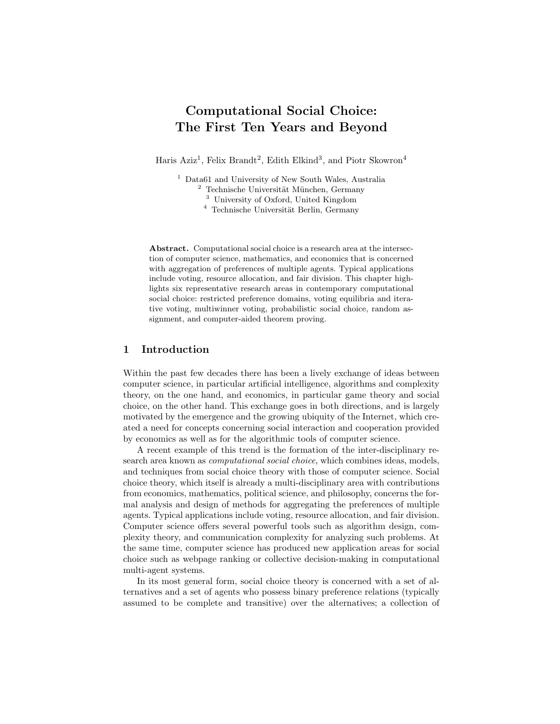# Computational Social Choice: The First Ten Years and Beyond

Haris Aziz<sup>1</sup>, Felix Brandt<sup>2</sup>, Edith Elkind<sup>3</sup>, and Piotr Skowron<sup>4</sup>

- <sup>1</sup> Data61 and University of New South Wales, Australia
	- Technische Universität München, Germany
	- <sup>3</sup> University of Oxford, United Kingdom
	- $4$  Technische Universität Berlin, Germany

Abstract. Computational social choice is a research area at the intersection of computer science, mathematics, and economics that is concerned with aggregation of preferences of multiple agents. Typical applications include voting, resource allocation, and fair division. This chapter highlights six representative research areas in contemporary computational social choice: restricted preference domains, voting equilibria and iterative voting, multiwinner voting, probabilistic social choice, random assignment, and computer-aided theorem proving.

## 1 Introduction

Within the past few decades there has been a lively exchange of ideas between computer science, in particular artificial intelligence, algorithms and complexity theory, on the one hand, and economics, in particular game theory and social choice, on the other hand. This exchange goes in both directions, and is largely motivated by the emergence and the growing ubiquity of the Internet, which created a need for concepts concerning social interaction and cooperation provided by economics as well as for the algorithmic tools of computer science.

A recent example of this trend is the formation of the inter-disciplinary research area known as *computational social choice*, which combines ideas, models, and techniques from social choice theory with those of computer science. Social choice theory, which itself is already a multi-disciplinary area with contributions from economics, mathematics, political science, and philosophy, concerns the formal analysis and design of methods for aggregating the preferences of multiple agents. Typical applications include voting, resource allocation, and fair division. Computer science offers several powerful tools such as algorithm design, complexity theory, and communication complexity for analyzing such problems. At the same time, computer science has produced new application areas for social choice such as webpage ranking or collective decision-making in computational multi-agent systems.

In its most general form, social choice theory is concerned with a set of alternatives and a set of agents who possess binary preference relations (typically assumed to be complete and transitive) over the alternatives; a collection of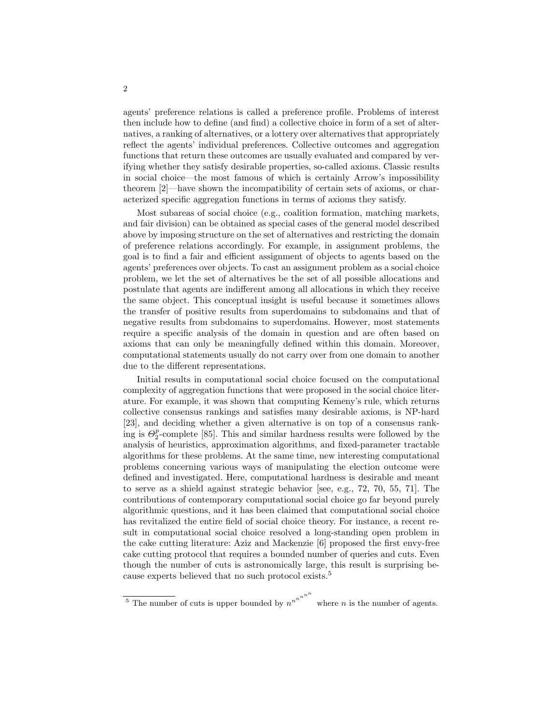agents' preference relations is called a preference profile. Problems of interest then include how to define (and find) a collective choice in form of a set of alternatives, a ranking of alternatives, or a lottery over alternatives that appropriately reflect the agents' individual preferences. Collective outcomes and aggregation functions that return these outcomes are usually evaluated and compared by verifying whether they satisfy desirable properties, so-called axioms. Classic results in social choice—the most famous of which is certainly Arrow's impossibility theorem [\[2\]](#page-10-0)—have shown the incompatibility of certain sets of axioms, or characterized specific aggregation functions in terms of axioms they satisfy.

Most subareas of social choice (e.g., coalition formation, matching markets, and fair division) can be obtained as special cases of the general model described above by imposing structure on the set of alternatives and restricting the domain of preference relations accordingly. For example, in assignment problems, the goal is to find a fair and efficient assignment of objects to agents based on the agents' preferences over objects. To cast an assignment problem as a social choice problem, we let the set of alternatives be the set of all possible allocations and postulate that agents are indifferent among all allocations in which they receive the same object. This conceptual insight is useful because it sometimes allows the transfer of positive results from superdomains to subdomains and that of negative results from subdomains to superdomains. However, most statements require a specific analysis of the domain in question and are often based on axioms that can only be meaningfully defined within this domain. Moreover, computational statements usually do not carry over from one domain to another due to the different representations.

Initial results in computational social choice focused on the computational complexity of aggregation functions that were proposed in the social choice literature. For example, it was shown that computing Kemeny's rule, which returns collective consensus rankings and satisfies many desirable axioms, is NP-hard [\[23\]](#page-11-0), and deciding whether a given alternative is on top of a consensus ranking is  $\Theta_2^p$ -complete [\[85\]](#page-15-0). This and similar hardness results were followed by the analysis of heuristics, approximation algorithms, and fixed-parameter tractable algorithms for these problems. At the same time, new interesting computational problems concerning various ways of manipulating the election outcome were defined and investigated. Here, computational hardness is desirable and meant to serve as a shield against strategic behavior [see, e.g., [72,](#page-14-0) [70,](#page-14-1) [55,](#page-13-0) [71\]](#page-14-2). The contributions of contemporary computational social choice go far beyond purely algorithmic questions, and it has been claimed that computational social choice has revitalized the entire field of social choice theory. For instance, a recent result in computational social choice resolved a long-standing open problem in the cake cutting literature: Aziz and Mackenzie [\[6\]](#page-11-1) proposed the first envy-free cake cutting protocol that requires a bounded number of queries and cuts. Even though the number of cuts is astronomically large, this result is surprising be-cause experts believed that no such protocol exists.<sup>[5](#page-1-0)</sup>

<span id="page-1-0"></span><sup>&</sup>lt;sup>5</sup> The number of cuts is upper bounded by  $n^{n^{n^{n^n}}}$  where *n* is the number of agents.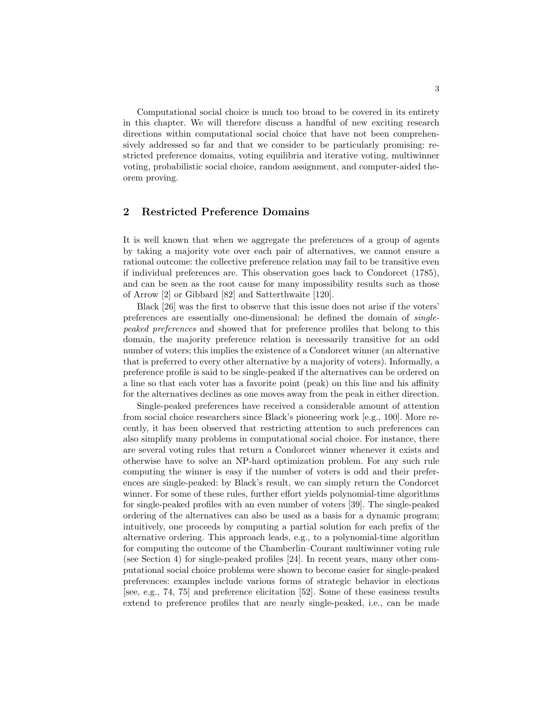Computational social choice is much too broad to be covered in its entirety in this chapter. We will therefore discuss a handful of new exciting research directions within computational social choice that have not been comprehensively addressed so far and that we consider to be particularly promising: restricted preference domains, voting equilibria and iterative voting, multiwinner voting, probabilistic social choice, random assignment, and computer-aided theorem proving.

## <span id="page-2-0"></span>2 Restricted Preference Domains

It is well known that when we aggregate the preferences of a group of agents by taking a majority vote over each pair of alternatives, we cannot ensure a rational outcome: the collective preference relation may fail to be transitive even if individual preferences are. This observation goes back to Condorcet (1785), and can be seen as the root cause for many impossibility results such as those of Arrow [\[2\]](#page-10-0) or Gibbard [\[82\]](#page-15-1) and Satterthwaite [\[120\]](#page-17-0).

Black [\[26\]](#page-12-0) was the first to observe that this issue does not arise if the voters' preferences are essentially one-dimensional: he defined the domain of singlepeaked preferences and showed that for preference profiles that belong to this domain, the majority preference relation is necessarily transitive for an odd number of voters; this implies the existence of a Condorcet winner (an alternative that is preferred to every other alternative by a majority of voters). Informally, a preference profile is said to be single-peaked if the alternatives can be ordered on a line so that each voter has a favorite point (peak) on this line and his affinity for the alternatives declines as one moves away from the peak in either direction.

Single-peaked preferences have received a considerable amount of attention from social choice researchers since Black's pioneering work [e.g., [100\]](#page-16-0). More recently, it has been observed that restricting attention to such preferences can also simplify many problems in computational social choice. For instance, there are several voting rules that return a Condorcet winner whenever it exists and otherwise have to solve an NP-hard optimization problem. For any such rule computing the winner is easy if the number of voters is odd and their preferences are single-peaked: by Black's result, we can simply return the Condorcet winner. For some of these rules, further effort yields polynomial-time algorithms for single-peaked profiles with an even number of voters [\[39\]](#page-12-1). The single-peaked ordering of the alternatives can also be used as a basis for a dynamic program; intuitively, one proceeds by computing a partial solution for each prefix of the alternative ordering. This approach leads, e.g., to a polynomial-time algorithm for computing the outcome of the Chamberlin–Courant multiwinner voting rule (see Section [4\)](#page-4-0) for single-peaked profiles [\[24\]](#page-12-2). In recent years, many other computational social choice problems were shown to become easier for single-peaked preferences: examples include various forms of strategic behavior in elections [see, e.g., [74,](#page-14-3) [75\]](#page-14-4) and preference elicitation [\[52\]](#page-13-1). Some of these easiness results extend to preference profiles that are nearly single-peaked, i.e., can be made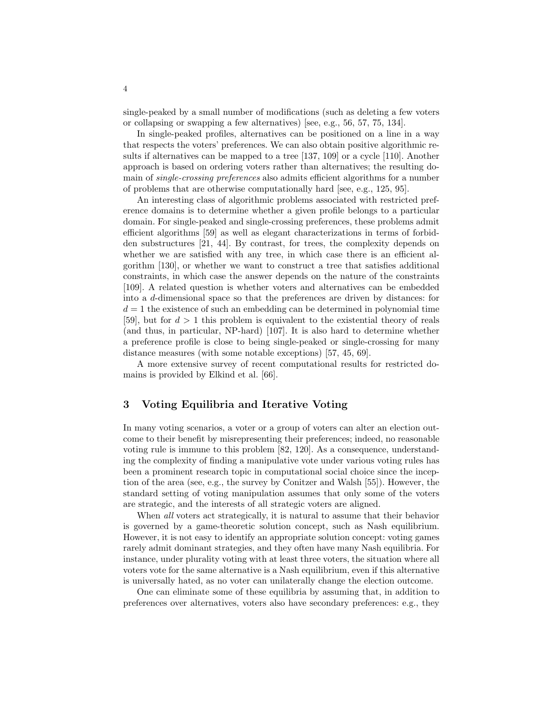single-peaked by a small number of modifications (such as deleting a few voters or collapsing or swapping a few alternatives) [see, e.g., [56,](#page-13-2) [57,](#page-13-3) [75,](#page-14-4) [134\]](#page-18-0).

In single-peaked profiles, alternatives can be positioned on a line in a way that respects the voters' preferences. We can also obtain positive algorithmic results if alternatives can be mapped to a tree [\[137,](#page-18-1) [109\]](#page-16-1) or a cycle [\[110\]](#page-16-2). Another approach is based on ordering voters rather than alternatives; the resulting domain of single-crossing preferences also admits efficient algorithms for a number of problems that are otherwise computationally hard [see, e.g., [125,](#page-17-1) [95\]](#page-15-2).

An interesting class of algorithmic problems associated with restricted preference domains is to determine whether a given profile belongs to a particular domain. For single-peaked and single-crossing preferences, these problems admit efficient algorithms [\[59\]](#page-13-4) as well as elegant characterizations in terms of forbidden substructures [\[21,](#page-11-2) [44\]](#page-13-5). By contrast, for trees, the complexity depends on whether we are satisfied with any tree, in which case there is an efficient algorithm [\[130\]](#page-17-2), or whether we want to construct a tree that satisfies additional constraints, in which case the answer depends on the nature of the constraints [\[109\]](#page-16-1). A related question is whether voters and alternatives can be embedded into a d-dimensional space so that the preferences are driven by distances: for  $d = 1$  the existence of such an embedding can be determined in polynomial time [\[59\]](#page-13-4), but for  $d > 1$  this problem is equivalent to the existential theory of reals (and thus, in particular, NP-hard) [\[107\]](#page-16-3). It is also hard to determine whether a preference profile is close to being single-peaked or single-crossing for many distance measures (with some notable exceptions) [\[57,](#page-13-3) [45,](#page-13-6) [69\]](#page-14-5).

A more extensive survey of recent computational results for restricted domains is provided by Elkind et al. [\[66\]](#page-14-6).

# 3 Voting Equilibria and Iterative Voting

In many voting scenarios, a voter or a group of voters can alter an election outcome to their benefit by misrepresenting their preferences; indeed, no reasonable voting rule is immune to this problem [\[82,](#page-15-1) [120\]](#page-17-0). As a consequence, understanding the complexity of finding a manipulative vote under various voting rules has been a prominent research topic in computational social choice since the inception of the area (see, e.g., the survey by [Conitzer and Walsh](#page-13-0) [\[55\]](#page-13-0)). However, the standard setting of voting manipulation assumes that only some of the voters are strategic, and the interests of all strategic voters are aligned.

When *all* voters act strategically, it is natural to assume that their behavior is governed by a game-theoretic solution concept, such as Nash equilibrium. However, it is not easy to identify an appropriate solution concept: voting games rarely admit dominant strategies, and they often have many Nash equilibria. For instance, under plurality voting with at least three voters, the situation where all voters vote for the same alternative is a Nash equilibrium, even if this alternative is universally hated, as no voter can unilaterally change the election outcome.

One can eliminate some of these equilibria by assuming that, in addition to preferences over alternatives, voters also have secondary preferences: e.g., they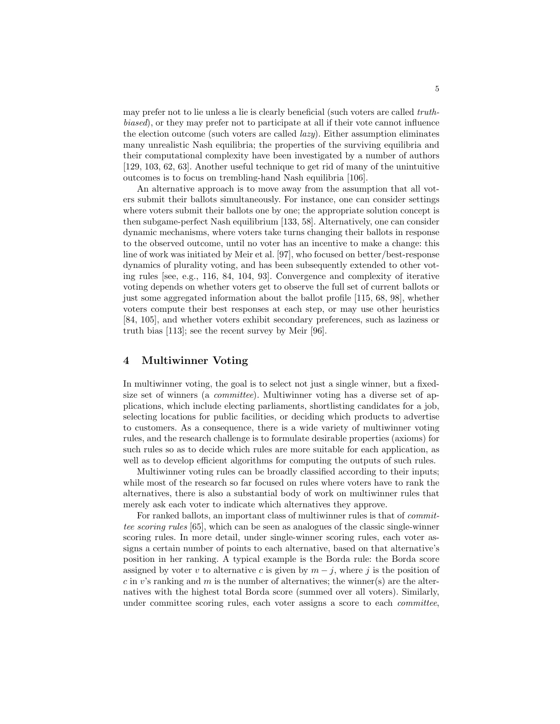may prefer not to lie unless a lie is clearly beneficial (such voters are called truthbiased), or they may prefer not to participate at all if their vote cannot influence the election outcome (such voters are called  $lazy)$ ). Either assumption eliminates many unrealistic Nash equilibria; the properties of the surviving equilibria and their computational complexity have been investigated by a number of authors [\[129,](#page-17-3) [103,](#page-16-4) [62,](#page-14-7) [63\]](#page-14-8). Another useful technique to get rid of many of the unintuitive outcomes is to focus on trembling-hand Nash equilibria [\[106\]](#page-16-5).

An alternative approach is to move away from the assumption that all voters submit their ballots simultaneously. For instance, one can consider settings where voters submit their ballots one by one; the appropriate solution concept is then subgame-perfect Nash equilibrium [\[133,](#page-18-2) [58\]](#page-13-7). Alternatively, one can consider dynamic mechanisms, where voters take turns changing their ballots in response to the observed outcome, until no voter has an incentive to make a change: this line of work was initiated by Meir et al. [\[97\]](#page-16-6), who focused on better/best-response dynamics of plurality voting, and has been subsequently extended to other voting rules [see, e.g., [116,](#page-17-4) [84,](#page-15-3) [104,](#page-16-7) [93\]](#page-15-4). Convergence and complexity of iterative voting depends on whether voters get to observe the full set of current ballots or just some aggregated information about the ballot profile [\[115,](#page-17-5) [68,](#page-14-9) [98\]](#page-16-8), whether voters compute their best responses at each step, or may use other heuristics [\[84,](#page-15-3) [105\]](#page-16-9), and whether voters exhibit secondary preferences, such as laziness or truth bias [\[113\]](#page-16-10); see the recent survey by Meir [\[96\]](#page-16-11).

## <span id="page-4-0"></span>4 Multiwinner Voting

In multiwinner voting, the goal is to select not just a single winner, but a fixedsize set of winners (a committee). Multiwinner voting has a diverse set of applications, which include electing parliaments, shortlisting candidates for a job, selecting locations for public facilities, or deciding which products to advertise to customers. As a consequence, there is a wide variety of multiwinner voting rules, and the research challenge is to formulate desirable properties (axioms) for such rules so as to decide which rules are more suitable for each application, as well as to develop efficient algorithms for computing the outputs of such rules.

Multiwinner voting rules can be broadly classified according to their inputs; while most of the research so far focused on rules where voters have to rank the alternatives, there is also a substantial body of work on multiwinner rules that merely ask each voter to indicate which alternatives they approve.

For ranked ballots, an important class of multiwinner rules is that of committee scoring rules [\[65\]](#page-14-10), which can be seen as analogues of the classic single-winner scoring rules. In more detail, under single-winner scoring rules, each voter assigns a certain number of points to each alternative, based on that alternative's position in her ranking. A typical example is the Borda rule: the Borda score assigned by voter v to alternative c is given by  $m - j$ , where j is the position of c in v's ranking and m is the number of alternatives; the winner(s) are the alternatives with the highest total Borda score (summed over all voters). Similarly, under committee scoring rules, each voter assigns a score to each committee,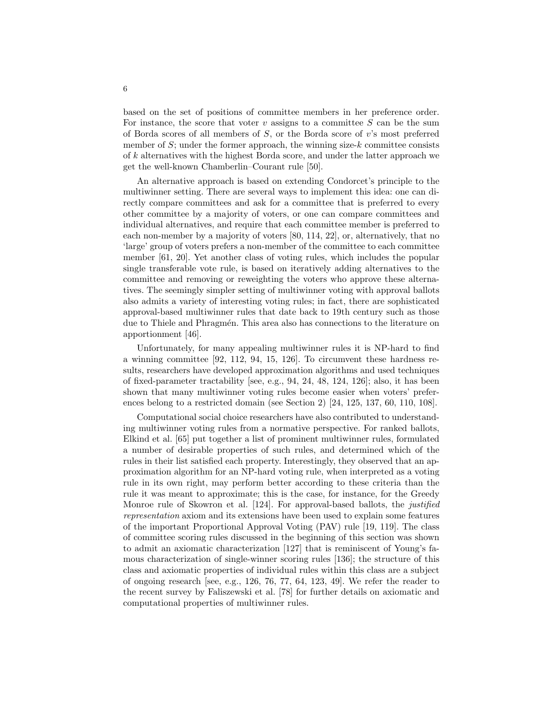based on the set of positions of committee members in her preference order. For instance, the score that voter  $v$  assigns to a committee  $S$  can be the sum of Borda scores of all members of  $S$ , or the Borda score of  $v$ 's most preferred member of  $S$ ; under the former approach, the winning size-k committee consists of k alternatives with the highest Borda score, and under the latter approach we get the well-known Chamberlin–Courant rule [\[50\]](#page-13-8).

An alternative approach is based on extending Condorcet's principle to the multiwinner setting. There are several ways to implement this idea: one can directly compare committees and ask for a committee that is preferred to every other committee by a majority of voters, or one can compare committees and individual alternatives, and require that each committee member is preferred to each non-member by a majority of voters [\[80,](#page-15-5) [114,](#page-16-12) [22\]](#page-11-3), or, alternatively, that no 'large' group of voters prefers a non-member of the committee to each committee member [\[61,](#page-14-11) [20\]](#page-11-4). Yet another class of voting rules, which includes the popular single transferable vote rule, is based on iteratively adding alternatives to the committee and removing or reweighting the voters who approve these alternatives. The seemingly simpler setting of multiwinner voting with approval ballots also admits a variety of interesting voting rules; in fact, there are sophisticated approval-based multiwinner rules that date back to 19th century such as those due to Thiele and Phragmen. This area also has connections to the literature on apportionment [\[46\]](#page-13-9).

Unfortunately, for many appealing multiwinner rules it is NP-hard to find a winning committee [\[92,](#page-15-6) [112,](#page-16-13) [94,](#page-15-7) [15,](#page-11-5) [126\]](#page-17-6). To circumvent these hardness results, researchers have developed approximation algorithms and used techniques of fixed-parameter tractability [see, e.g., [94,](#page-15-7) [24,](#page-12-2) [48,](#page-13-10) [124,](#page-17-7) [126\]](#page-17-6); also, it has been shown that many multiwinner voting rules become easier when voters' preferences belong to a restricted domain (see Section [2\)](#page-2-0) [\[24,](#page-12-2) [125,](#page-17-1) [137,](#page-18-1) [60,](#page-13-11) [110,](#page-16-2) [108\]](#page-16-14).

Computational social choice researchers have also contributed to understanding multiwinner voting rules from a normative perspective. For ranked ballots, Elkind et al. [\[65\]](#page-14-10) put together a list of prominent multiwinner rules, formulated a number of desirable properties of such rules, and determined which of the rules in their list satisfied each property. Interestingly, they observed that an approximation algorithm for an NP-hard voting rule, when interpreted as a voting rule in its own right, may perform better according to these criteria than the rule it was meant to approximate; this is the case, for instance, for the Greedy Monroe rule of Skowron et al. [\[124\]](#page-17-7). For approval-based ballots, the justified representation axiom and its extensions have been used to explain some features of the important Proportional Approval Voting (PAV) rule [\[19,](#page-11-6) [119\]](#page-17-8). The class of committee scoring rules discussed in the beginning of this section was shown to admit an axiomatic characterization [\[127\]](#page-17-9) that is reminiscent of Young's famous characterization of single-winner scoring rules [\[136\]](#page-18-3); the structure of this class and axiomatic properties of individual rules within this class are a subject of ongoing research [see, e.g.,  $126$ ,  $76$ ,  $77$ ,  $64$ ,  $123$ ,  $49$ ]. We refer the reader to the recent survey by [Faliszewski et al.](#page-15-8) [\[78\]](#page-15-8) for further details on axiomatic and computational properties of multiwinner rules.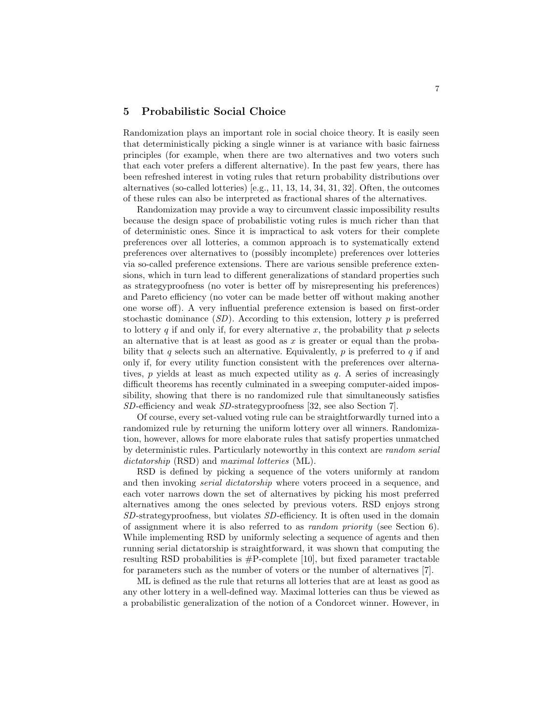## <span id="page-6-0"></span>5 Probabilistic Social Choice

Randomization plays an important role in social choice theory. It is easily seen that deterministically picking a single winner is at variance with basic fairness principles (for example, when there are two alternatives and two voters such that each voter prefers a different alternative). In the past few years, there has been refreshed interest in voting rules that return probability distributions over alternatives (so-called lotteries) [e.g., [11,](#page-11-7) [13,](#page-11-8) [14,](#page-11-9) [34,](#page-12-3) [31,](#page-12-4) [32\]](#page-12-5). Often, the outcomes of these rules can also be interpreted as fractional shares of the alternatives.

Randomization may provide a way to circumvent classic impossibility results because the design space of probabilistic voting rules is much richer than that of deterministic ones. Since it is impractical to ask voters for their complete preferences over all lotteries, a common approach is to systematically extend preferences over alternatives to (possibly incomplete) preferences over lotteries via so-called preference extensions. There are various sensible preference extensions, which in turn lead to different generalizations of standard properties such as strategyproofness (no voter is better off by misrepresenting his preferences) and Pareto efficiency (no voter can be made better off without making another one worse off). A very influential preference extension is based on first-order stochastic dominance  $(SD)$ . According to this extension, lottery p is preferred to lottery q if and only if, for every alternative x, the probability that  $p$  selects an alternative that is at least as good as  $x$  is greater or equal than the probability that q selects such an alternative. Equivalently,  $p$  is preferred to  $q$  if and only if, for every utility function consistent with the preferences over alternatives,  $p$  yields at least as much expected utility as  $q$ . A series of increasingly difficult theorems has recently culminated in a sweeping computer-aided impossibility, showing that there is no randomized rule that simultaneously satisfies SD-efficiency and weak SD-strategyproofness [\[32,](#page-12-5) see also Section [7\]](#page-9-0).

Of course, every set-valued voting rule can be straightforwardly turned into a randomized rule by returning the uniform lottery over all winners. Randomization, however, allows for more elaborate rules that satisfy properties unmatched by deterministic rules. Particularly noteworthy in this context are random serial dictatorship (RSD) and maximal lotteries (ML).

RSD is defined by picking a sequence of the voters uniformly at random and then invoking serial dictatorship where voters proceed in a sequence, and each voter narrows down the set of alternatives by picking his most preferred alternatives among the ones selected by previous voters. RSD enjoys strong SD-strategyproofness, but violates SD-efficiency. It is often used in the domain of assignment where it is also referred to as random priority (see Section [6\)](#page-7-0). While implementing RSD by uniformly selecting a sequence of agents and then running serial dictatorship is straightforward, it was shown that computing the resulting RSD probabilities is  $#P$ -complete [\[10\]](#page-11-10), but fixed parameter tractable for parameters such as the number of voters or the number of alternatives [\[7\]](#page-11-11).

ML is defined as the rule that returns all lotteries that are at least as good as any other lottery in a well-defined way. Maximal lotteries can thus be viewed as a probabilistic generalization of the notion of a Condorcet winner. However, in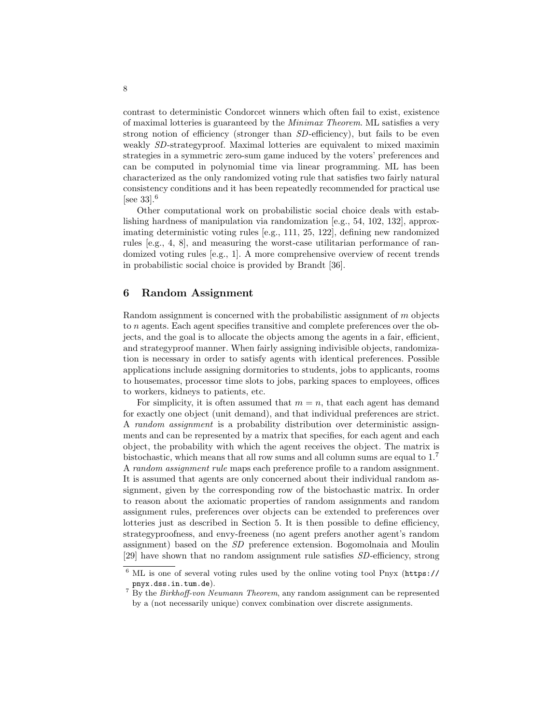contrast to deterministic Condorcet winners which often fail to exist, existence of maximal lotteries is guaranteed by the Minimax Theorem. ML satisfies a very strong notion of efficiency (stronger than SD-efficiency), but fails to be even weakly SD-strategyproof. Maximal lotteries are equivalent to mixed maximin strategies in a symmetric zero-sum game induced by the voters' preferences and can be computed in polynomial time via linear programming. ML has been characterized as the only randomized voting rule that satisfies two fairly natural consistency conditions and it has been repeatedly recommended for practical use [see  $33$ ].<sup>[6](#page-7-1)</sup>

Other computational work on probabilistic social choice deals with establishing hardness of manipulation via randomization [e.g., [54,](#page-13-13) [102,](#page-16-15) [132\]](#page-17-11), approximating deterministic voting rules [e.g., [111,](#page-16-16) [25,](#page-12-7) [122\]](#page-17-12), defining new randomized rules [e.g., [4,](#page-10-1) [8\]](#page-11-12), and measuring the worst-case utilitarian performance of randomized voting rules [e.g., [1\]](#page-10-2). A more comprehensive overview of recent trends in probabilistic social choice is provided by Brandt [\[36\]](#page-12-8).

#### <span id="page-7-0"></span>6 Random Assignment

Random assignment is concerned with the probabilistic assignment of m objects to n agents. Each agent specifies transitive and complete preferences over the objects, and the goal is to allocate the objects among the agents in a fair, efficient, and strategyproof manner. When fairly assigning indivisible objects, randomization is necessary in order to satisfy agents with identical preferences. Possible applications include assigning dormitories to students, jobs to applicants, rooms to housemates, processor time slots to jobs, parking spaces to employees, offices to workers, kidneys to patients, etc.

For simplicity, it is often assumed that  $m = n$ , that each agent has demand for exactly one object (unit demand), and that individual preferences are strict. A random assignment is a probability distribution over deterministic assignments and can be represented by a matrix that specifies, for each agent and each object, the probability with which the agent receives the object. The matrix is bistochastic, which means that all row sums and all column sums are equal to 1.[7](#page-7-2) A random assignment rule maps each preference profile to a random assignment. It is assumed that agents are only concerned about their individual random assignment, given by the corresponding row of the bistochastic matrix. In order to reason about the axiomatic properties of random assignments and random assignment rules, preferences over objects can be extended to preferences over lotteries just as described in Section [5.](#page-6-0) It is then possible to define efficiency, strategyproofness, and envy-freeness (no agent prefers another agent's random assignment) based on the SD preference extension. Bogomolnaia and Moulin [\[29\]](#page-12-9) have shown that no random assignment rule satisfies SD-efficiency, strong

<span id="page-7-1"></span> $6$  ML is one of several voting rules used by the online voting tool Pnyx ([https://](https://pnyx.dss.in.tum.de) [pnyx.dss.in.tum.de](https://pnyx.dss.in.tum.de)).

<span id="page-7-2"></span> $7 \text{ By}$  the *Birkhoff-von Neumann Theorem*, any random assignment can be represented by a (not necessarily unique) convex combination over discrete assignments.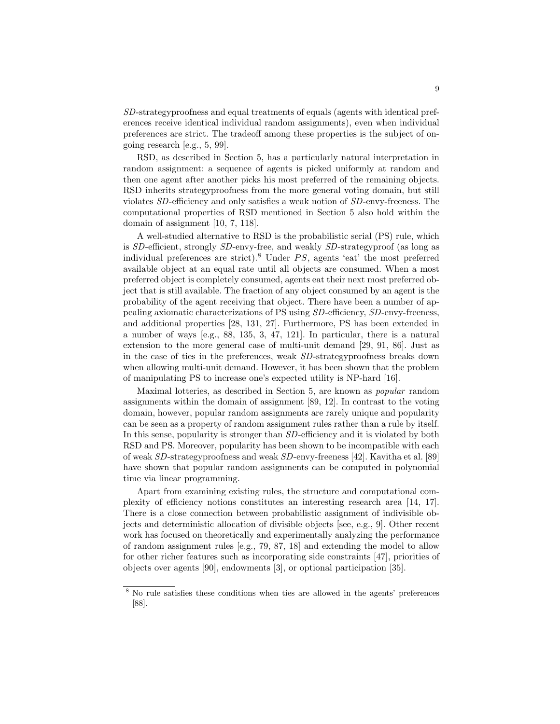SD-strategyproofness and equal treatments of equals (agents with identical preferences receive identical individual random assignments), even when individual preferences are strict. The tradeoff among these properties is the subject of ongoing research [e.g., [5,](#page-10-3) [99\]](#page-16-17).

RSD, as described in Section [5,](#page-6-0) has a particularly natural interpretation in random assignment: a sequence of agents is picked uniformly at random and then one agent after another picks his most preferred of the remaining objects. RSD inherits strategyproofness from the more general voting domain, but still violates SD-efficiency and only satisfies a weak notion of SD-envy-freeness. The computational properties of RSD mentioned in Section [5](#page-6-0) also hold within the domain of assignment [\[10,](#page-11-10) [7,](#page-11-11) [118\]](#page-17-13).

A well-studied alternative to RSD is the probabilistic serial (PS) rule, which is SD-efficient, strongly SD-envy-free, and weakly SD-strategyproof (as long as individual preferences are strict).<sup>[8](#page-8-0)</sup> Under  $PS$ , agents 'eat' the most preferred available object at an equal rate until all objects are consumed. When a most preferred object is completely consumed, agents eat their next most preferred object that is still available. The fraction of any object consumed by an agent is the probability of the agent receiving that object. There have been a number of appealing axiomatic characterizations of PS using SD-efficiency, SD-envy-freeness, and additional properties [\[28,](#page-12-10) [131,](#page-17-14) [27\]](#page-12-11). Furthermore, PS has been extended in a number of ways [e.g., [88,](#page-15-9) [135,](#page-18-4) [3,](#page-10-4) [47,](#page-13-14) [121\]](#page-17-15). In particular, there is a natural extension to the more general case of multi-unit demand [\[29,](#page-12-9) [91,](#page-15-10) [86\]](#page-15-11). Just as in the case of ties in the preferences, weak SD-strategyproofness breaks down when allowing multi-unit demand. However, it has been shown that the problem of manipulating PS to increase one's expected utility is NP-hard [\[16\]](#page-11-13).

Maximal lotteries, as described in Section [5,](#page-6-0) are known as popular random assignments within the domain of assignment [\[89,](#page-15-12) [12\]](#page-11-14). In contrast to the voting domain, however, popular random assignments are rarely unique and popularity can be seen as a property of random assignment rules rather than a rule by itself. In this sense, popularity is stronger than SD-efficiency and it is violated by both RSD and PS. Moreover, popularity has been shown to be incompatible with each of weak SD-strategyproofness and weak SD-envy-freeness [\[42\]](#page-13-15). Kavitha et al. [\[89\]](#page-15-12) have shown that popular random assignments can be computed in polynomial time via linear programming.

Apart from examining existing rules, the structure and computational complexity of efficiency notions constitutes an interesting research area [\[14,](#page-11-9) [17\]](#page-11-15). There is a close connection between probabilistic assignment of indivisible objects and deterministic allocation of divisible objects [see, e.g., [9\]](#page-11-16). Other recent work has focused on theoretically and experimentally analyzing the performance of random assignment rules [e.g., [79,](#page-15-13) [87,](#page-15-14) [18\]](#page-11-17) and extending the model to allow for other richer features such as incorporating side constraints [\[47\]](#page-13-14), priorities of objects over agents [\[90\]](#page-15-15), endowments [\[3\]](#page-10-4), or optional participation [\[35\]](#page-12-12).

<span id="page-8-0"></span><sup>8</sup> No rule satisfies these conditions when ties are allowed in the agents' preferences [\[88\]](#page-15-9).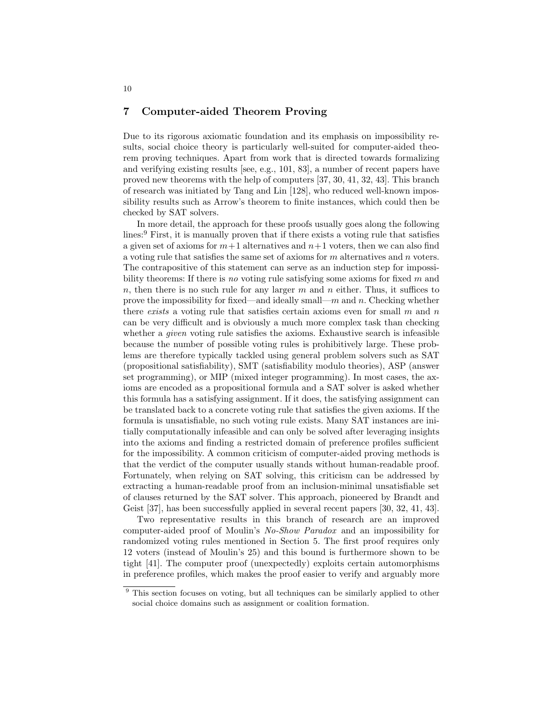## <span id="page-9-0"></span>7 Computer-aided Theorem Proving

Due to its rigorous axiomatic foundation and its emphasis on impossibility results, social choice theory is particularly well-suited for computer-aided theorem proving techniques. Apart from work that is directed towards formalizing and verifying existing results [see, e.g., [101,](#page-16-18) [83\]](#page-15-16), a number of recent papers have proved new theorems with the help of computers [\[37,](#page-12-13) [30,](#page-12-14) [41,](#page-12-15) [32,](#page-12-5) [43\]](#page-13-16). This branch of research was initiated by Tang and Lin [\[128\]](#page-17-16), who reduced well-known impossibility results such as Arrow's theorem to finite instances, which could then be checked by SAT solvers.

In more detail, the approach for these proofs usually goes along the following lines:<sup>[9](#page-9-1)</sup> First, it is manually proven that if there exists a voting rule that satisfies a given set of axioms for  $m+1$  alternatives and  $n+1$  voters, then we can also find a voting rule that satisfies the same set of axioms for  $m$  alternatives and  $n$  voters. The contrapositive of this statement can serve as an induction step for impossibility theorems: If there is no voting rule satisfying some axioms for fixed  $m$  and n, then there is no such rule for any larger m and n either. Thus, it suffices to prove the impossibility for fixed—and ideally small—m and n. Checking whether there exists a voting rule that satisfies certain axioms even for small  $m$  and  $n$ can be very difficult and is obviously a much more complex task than checking whether a *given* voting rule satisfies the axioms. Exhaustive search is infeasible because the number of possible voting rules is prohibitively large. These problems are therefore typically tackled using general problem solvers such as SAT (propositional satisfiability), SMT (satisfiability modulo theories), ASP (answer set programming), or MIP (mixed integer programming). In most cases, the axioms are encoded as a propositional formula and a SAT solver is asked whether this formula has a satisfying assignment. If it does, the satisfying assignment can be translated back to a concrete voting rule that satisfies the given axioms. If the formula is unsatisfiable, no such voting rule exists. Many SAT instances are initially computationally infeasible and can only be solved after leveraging insights into the axioms and finding a restricted domain of preference profiles sufficient for the impossibility. A common criticism of computer-aided proving methods is that the verdict of the computer usually stands without human-readable proof. Fortunately, when relying on SAT solving, this criticism can be addressed by extracting a human-readable proof from an inclusion-minimal unsatisfiable set of clauses returned by the SAT solver. This approach, pioneered by Brandt and Geist [\[37\]](#page-12-13), has been successfully applied in several recent papers [\[30,](#page-12-14) [32,](#page-12-5) [41,](#page-12-15) [43\]](#page-13-16).

Two representative results in this branch of research are an improved computer-aided proof of Moulin's No-Show Paradox and an impossibility for randomized voting rules mentioned in Section [5.](#page-6-0) The first proof requires only 12 voters (instead of Moulin's 25) and this bound is furthermore shown to be tight [\[41\]](#page-12-15). The computer proof (unexpectedly) exploits certain automorphisms in preference profiles, which makes the proof easier to verify and arguably more

<span id="page-9-1"></span><sup>&</sup>lt;sup>9</sup> This section focuses on voting, but all techniques can be similarly applied to other social choice domains such as assignment or coalition formation.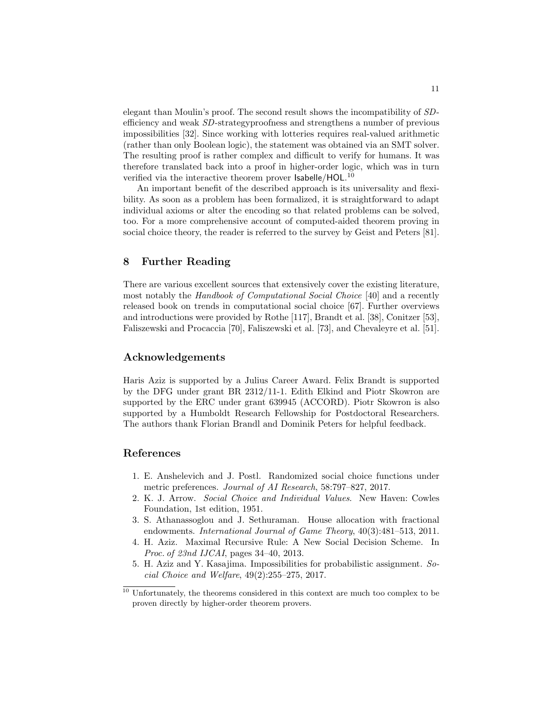elegant than Moulin's proof. The second result shows the incompatibility of SDefficiency and weak SD-strategyproofness and strengthens a number of previous impossibilities [\[32\]](#page-12-5). Since working with lotteries requires real-valued arithmetic (rather than only Boolean logic), the statement was obtained via an SMT solver. The resulting proof is rather complex and difficult to verify for humans. It was therefore translated back into a proof in higher-order logic, which was in turn verified via the interactive theorem prover Isabelle/HOL.<sup>[10](#page-10-5)</sup>

An important benefit of the described approach is its universality and flexibility. As soon as a problem has been formalized, it is straightforward to adapt individual axioms or alter the encoding so that related problems can be solved, too. For a more comprehensive account of computed-aided theorem proving in social choice theory, the reader is referred to the survey by Geist and Peters [\[81\]](#page-15-17).

## 8 Further Reading

There are various excellent sources that extensively cover the existing literature, most notably the Handbook of Computational Social Choice [\[40\]](#page-12-16) and a recently released book on trends in computational social choice [\[67\]](#page-14-15). Further overviews and introductions were provided by Rothe [\[117\]](#page-17-17), Brandt et al. [\[38\]](#page-12-17), Conitzer [\[53\]](#page-13-17), Faliszewski and Procaccia [\[70\]](#page-14-1), Faliszewski et al. [\[73\]](#page-14-16), and Chevaleyre et al. [\[51\]](#page-13-18).

## Acknowledgements

Haris Aziz is supported by a Julius Career Award. Felix Brandt is supported by the DFG under grant BR 2312/11-1. Edith Elkind and Piotr Skowron are supported by the ERC under grant 639945 (ACCORD). Piotr Skowron is also supported by a Humboldt Research Fellowship for Postdoctoral Researchers. The authors thank Florian Brandl and Dominik Peters for helpful feedback.

### References

- <span id="page-10-2"></span>1. E. Anshelevich and J. Postl. Randomized social choice functions under metric preferences. Journal of AI Research, 58:797–827, 2017.
- <span id="page-10-0"></span>2. K. J. Arrow. Social Choice and Individual Values. New Haven: Cowles Foundation, 1st edition, 1951.
- <span id="page-10-4"></span>3. S. Athanassoglou and J. Sethuraman. House allocation with fractional endowments. International Journal of Game Theory, 40(3):481–513, 2011.
- <span id="page-10-1"></span>4. H. Aziz. Maximal Recursive Rule: A New Social Decision Scheme. In Proc. of 23nd IJCAI, pages 34–40, 2013.
- <span id="page-10-3"></span>5. H. Aziz and Y. Kasajima. Impossibilities for probabilistic assignment. Social Choice and Welfare, 49(2):255–275, 2017.

<span id="page-10-5"></span> $10$  Unfortunately, the theorems considered in this context are much too complex to be proven directly by higher-order theorem provers.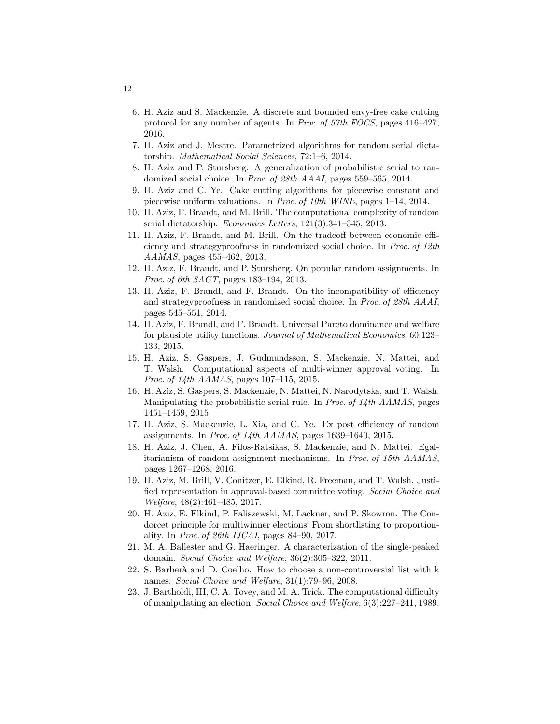- <span id="page-11-1"></span>6. H. Aziz and S. Mackenzie. A discrete and bounded envy-free cake cutting protocol for any number of agents. In Proc. of 57th FOCS, pages 416–427, 2016.
- <span id="page-11-11"></span>7. H. Aziz and J. Mestre. Parametrized algorithms for random serial dictatorship. Mathematical Social Sciences, 72:1–6, 2014.
- <span id="page-11-12"></span>8. H. Aziz and P. Stursberg. A generalization of probabilistic serial to randomized social choice. In Proc. of 28th AAAI, pages 559–565, 2014.
- <span id="page-11-16"></span>9. H. Aziz and C. Ye. Cake cutting algorithms for piecewise constant and piecewise uniform valuations. In Proc. of 10th WINE, pages 1–14, 2014.
- <span id="page-11-10"></span>10. H. Aziz, F. Brandt, and M. Brill. The computational complexity of random serial dictatorship. Economics Letters, 121(3):341–345, 2013.
- <span id="page-11-7"></span>11. H. Aziz, F. Brandt, and M. Brill. On the tradeoff between economic efficiency and strategyproofness in randomized social choice. In Proc. of 12th AAMAS, pages 455–462, 2013.
- <span id="page-11-14"></span>12. H. Aziz, F. Brandt, and P. Stursberg. On popular random assignments. In Proc. of 6th SAGT, pages 183–194, 2013.
- <span id="page-11-8"></span>13. H. Aziz, F. Brandl, and F. Brandt. On the incompatibility of efficiency and strategyproofness in randomized social choice. In Proc. of 28th AAAI, pages 545–551, 2014.
- <span id="page-11-9"></span>14. H. Aziz, F. Brandl, and F. Brandt. Universal Pareto dominance and welfare for plausible utility functions. Journal of Mathematical Economics, 60:123– 133, 2015.
- <span id="page-11-5"></span>15. H. Aziz, S. Gaspers, J. Gudmundsson, S. Mackenzie, N. Mattei, and T. Walsh. Computational aspects of multi-winner approval voting. In Proc. of 14th AAMAS, pages 107–115, 2015.
- <span id="page-11-13"></span>16. H. Aziz, S. Gaspers, S. Mackenzie, N. Mattei, N. Narodytska, and T. Walsh. Manipulating the probabilistic serial rule. In Proc. of 14th AAMAS, pages 1451–1459, 2015.
- <span id="page-11-15"></span>17. H. Aziz, S. Mackenzie, L. Xia, and C. Ye. Ex post efficiency of random assignments. In Proc. of 14th AAMAS, pages 1639–1640, 2015.
- <span id="page-11-17"></span>18. H. Aziz, J. Chen, A. Filos-Ratsikas, S. Mackenzie, and N. Mattei. Egalitarianism of random assignment mechanisms. In Proc. of 15th AAMAS, pages 1267–1268, 2016.
- <span id="page-11-6"></span>19. H. Aziz, M. Brill, V. Conitzer, E. Elkind, R. Freeman, and T. Walsh. Justified representation in approval-based committee voting. Social Choice and Welfare, 48(2):461–485, 2017.
- <span id="page-11-4"></span>20. H. Aziz, E. Elkind, P. Faliszewski, M. Lackner, and P. Skowron. The Condorcet principle for multiwinner elections: From shortlisting to proportionality. In *Proc. of 26th IJCAI*, pages  $84-90$ ,  $2017$ .
- <span id="page-11-2"></span>21. M. A. Ballester and G. Haeringer. A characterization of the single-peaked domain. Social Choice and Welfare, 36(2):305–322, 2011.
- <span id="page-11-3"></span>22. S. Barber`a and D. Coelho. How to choose a non-controversial list with k names. Social Choice and Welfare, 31(1):79–96, 2008.
- <span id="page-11-0"></span>23. J. Bartholdi, III, C. A. Tovey, and M. A. Trick. The computational difficulty of manipulating an election. Social Choice and Welfare, 6(3):227–241, 1989.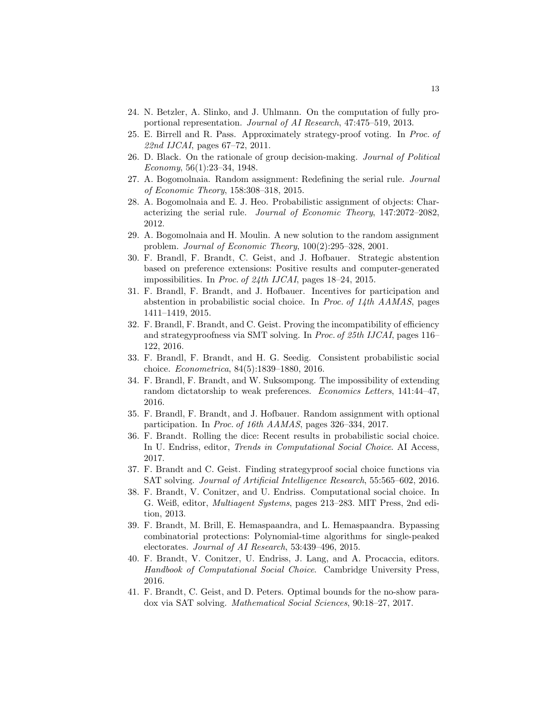- <span id="page-12-2"></span>24. N. Betzler, A. Slinko, and J. Uhlmann. On the computation of fully proportional representation. Journal of AI Research, 47:475–519, 2013.
- <span id="page-12-7"></span>25. E. Birrell and R. Pass. Approximately strategy-proof voting. In Proc. of 22nd IJCAI, pages 67-72, 2011.
- <span id="page-12-0"></span>26. D. Black. On the rationale of group decision-making. Journal of Political Economy, 56(1):23–34, 1948.
- <span id="page-12-11"></span>27. A. Bogomolnaia. Random assignment: Redefining the serial rule. Journal of Economic Theory, 158:308–318, 2015.
- <span id="page-12-10"></span>28. A. Bogomolnaia and E. J. Heo. Probabilistic assignment of objects: Characterizing the serial rule. Journal of Economic Theory, 147:2072–2082, 2012.
- <span id="page-12-9"></span>29. A. Bogomolnaia and H. Moulin. A new solution to the random assignment problem. Journal of Economic Theory, 100(2):295–328, 2001.
- <span id="page-12-14"></span>30. F. Brandl, F. Brandt, C. Geist, and J. Hofbauer. Strategic abstention based on preference extensions: Positive results and computer-generated impossibilities. In Proc. of 24th IJCAI, pages 18–24, 2015.
- <span id="page-12-4"></span>31. F. Brandl, F. Brandt, and J. Hofbauer. Incentives for participation and abstention in probabilistic social choice. In Proc. of 14th AAMAS, pages 1411–1419, 2015.
- <span id="page-12-5"></span>32. F. Brandl, F. Brandt, and C. Geist. Proving the incompatibility of efficiency and strategyproofness via SMT solving. In Proc. of 25th IJCAI, pages 116– 122, 2016.
- <span id="page-12-6"></span>33. F. Brandl, F. Brandt, and H. G. Seedig. Consistent probabilistic social choice. Econometrica, 84(5):1839–1880, 2016.
- <span id="page-12-3"></span>34. F. Brandl, F. Brandt, and W. Suksompong. The impossibility of extending random dictatorship to weak preferences. Economics Letters, 141:44–47, 2016.
- <span id="page-12-12"></span>35. F. Brandl, F. Brandt, and J. Hofbauer. Random assignment with optional participation. In Proc. of 16th AAMAS, pages 326–334, 2017.
- <span id="page-12-8"></span>36. F. Brandt. Rolling the dice: Recent results in probabilistic social choice. In U. Endriss, editor, Trends in Computational Social Choice. AI Access, 2017.
- <span id="page-12-13"></span>37. F. Brandt and C. Geist. Finding strategyproof social choice functions via SAT solving. Journal of Artificial Intelligence Research, 55:565–602, 2016.
- <span id="page-12-17"></span>38. F. Brandt, V. Conitzer, and U. Endriss. Computational social choice. In G. Weiß, editor, Multiagent Systems, pages 213–283. MIT Press, 2nd edition, 2013.
- <span id="page-12-1"></span>39. F. Brandt, M. Brill, E. Hemaspaandra, and L. Hemaspaandra. Bypassing combinatorial protections: Polynomial-time algorithms for single-peaked electorates. Journal of AI Research, 53:439–496, 2015.
- <span id="page-12-16"></span>40. F. Brandt, V. Conitzer, U. Endriss, J. Lang, and A. Procaccia, editors. Handbook of Computational Social Choice. Cambridge University Press, 2016.
- <span id="page-12-15"></span>41. F. Brandt, C. Geist, and D. Peters. Optimal bounds for the no-show paradox via SAT solving. Mathematical Social Sciences, 90:18–27, 2017.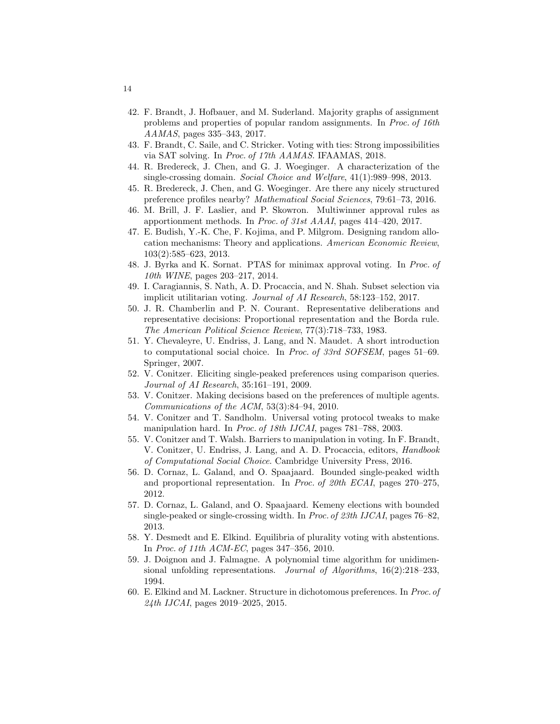- <span id="page-13-15"></span>42. F. Brandt, J. Hofbauer, and M. Suderland. Majority graphs of assignment problems and properties of popular random assignments. In Proc. of 16th AAMAS, pages 335–343, 2017.
- <span id="page-13-16"></span>43. F. Brandt, C. Saile, and C. Stricker. Voting with ties: Strong impossibilities via SAT solving. In Proc. of 17th AAMAS. IFAAMAS, 2018.
- <span id="page-13-5"></span>44. R. Bredereck, J. Chen, and G. J. Woeginger. A characterization of the single-crossing domain. Social Choice and Welfare, 41(1):989–998, 2013.
- <span id="page-13-6"></span>45. R. Bredereck, J. Chen, and G. Woeginger. Are there any nicely structured preference profiles nearby? Mathematical Social Sciences, 79:61–73, 2016.
- <span id="page-13-9"></span>46. M. Brill, J. F. Laslier, and P. Skowron. Multiwinner approval rules as apportionment methods. In Proc. of 31st AAAI, pages 414–420, 2017.
- <span id="page-13-14"></span>47. E. Budish, Y.-K. Che, F. Kojima, and P. Milgrom. Designing random allocation mechanisms: Theory and applications. American Economic Review, 103(2):585–623, 2013.
- <span id="page-13-10"></span>48. J. Byrka and K. Sornat. PTAS for minimax approval voting. In Proc. of 10th WINE, pages 203–217, 2014.
- <span id="page-13-12"></span>49. I. Caragiannis, S. Nath, A. D. Procaccia, and N. Shah. Subset selection via implicit utilitarian voting. Journal of AI Research, 58:123–152, 2017.
- <span id="page-13-8"></span>50. J. R. Chamberlin and P. N. Courant. Representative deliberations and representative decisions: Proportional representation and the Borda rule. The American Political Science Review, 77(3):718–733, 1983.
- <span id="page-13-18"></span>51. Y. Chevaleyre, U. Endriss, J. Lang, and N. Maudet. A short introduction to computational social choice. In Proc. of 33rd SOFSEM, pages 51–69. Springer, 2007.
- <span id="page-13-1"></span>52. V. Conitzer. Eliciting single-peaked preferences using comparison queries. Journal of AI Research, 35:161–191, 2009.
- <span id="page-13-17"></span>53. V. Conitzer. Making decisions based on the preferences of multiple agents. Communications of the ACM, 53(3):84–94, 2010.
- <span id="page-13-13"></span>54. V. Conitzer and T. Sandholm. Universal voting protocol tweaks to make manipulation hard. In Proc. of 18th IJCAI, pages 781–788, 2003.
- <span id="page-13-0"></span>55. V. Conitzer and T. Walsh. Barriers to manipulation in voting. In F. Brandt, V. Conitzer, U. Endriss, J. Lang, and A. D. Procaccia, editors, Handbook of Computational Social Choice. Cambridge University Press, 2016.
- <span id="page-13-2"></span>56. D. Cornaz, L. Galand, and O. Spaajaard. Bounded single-peaked width and proportional representation. In Proc. of 20th ECAI, pages 270–275, 2012.
- <span id="page-13-3"></span>57. D. Cornaz, L. Galand, and O. Spaajaard. Kemeny elections with bounded single-peaked or single-crossing width. In Proc. of 23th IJCAI, pages 76–82, 2013.
- <span id="page-13-7"></span>58. Y. Desmedt and E. Elkind. Equilibria of plurality voting with abstentions. In Proc. of 11th ACM-EC, pages 347–356, 2010.
- <span id="page-13-4"></span>59. J. Doignon and J. Falmagne. A polynomial time algorithm for unidimensional unfolding representations. Journal of Algorithms, 16(2):218–233, 1994.
- <span id="page-13-11"></span>60. E. Elkind and M. Lackner. Structure in dichotomous preferences. In Proc.of 24th IJCAI, pages 2019–2025, 2015.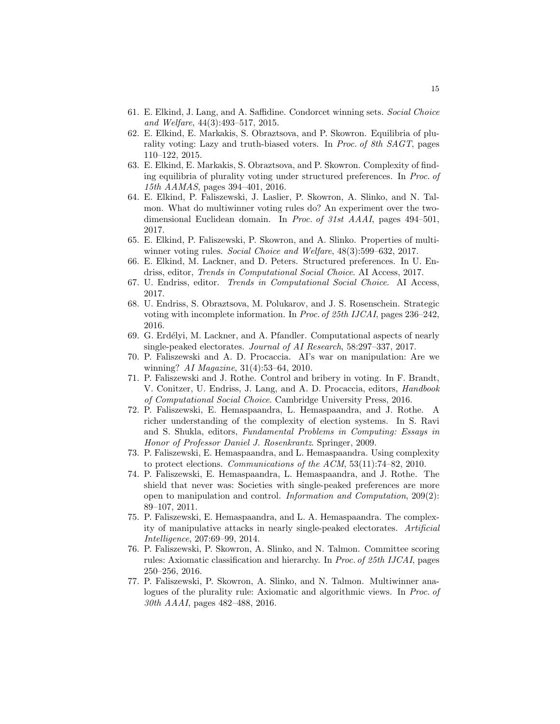- <span id="page-14-11"></span>61. E. Elkind, J. Lang, and A. Saffidine. Condorcet winning sets. Social Choice and Welfare, 44(3):493–517, 2015.
- <span id="page-14-7"></span>62. E. Elkind, E. Markakis, S. Obraztsova, and P. Skowron. Equilibria of plurality voting: Lazy and truth-biased voters. In Proc. of 8th SAGT, pages 110–122, 2015.
- <span id="page-14-8"></span>63. E. Elkind, E. Markakis, S. Obraztsova, and P. Skowron. Complexity of finding equilibria of plurality voting under structured preferences. In Proc. of 15th AAMAS, pages 394–401, 2016.
- <span id="page-14-14"></span>64. E. Elkind, P. Faliszewski, J. Laslier, P. Skowron, A. Slinko, and N. Talmon. What do multiwinner voting rules do? An experiment over the twodimensional Euclidean domain. In *Proc. of 31st AAAI*, pages 494–501, 2017.
- <span id="page-14-10"></span>65. E. Elkind, P. Faliszewski, P. Skowron, and A. Slinko. Properties of multiwinner voting rules. Social Choice and Welfare, 48(3):599–632, 2017.
- <span id="page-14-6"></span>66. E. Elkind, M. Lackner, and D. Peters. Structured preferences. In U. Endriss, editor, Trends in Computational Social Choice. AI Access, 2017.
- <span id="page-14-15"></span>67. U. Endriss, editor. Trends in Computational Social Choice. AI Access, 2017.
- <span id="page-14-9"></span>68. U. Endriss, S. Obraztsova, M. Polukarov, and J. S. Rosenschein. Strategic voting with incomplete information. In Proc. of 25th IJCAI, pages 236–242, 2016.
- <span id="page-14-5"></span>69. G. Erdélyi, M. Lackner, and A. Pfandler. Computational aspects of nearly single-peaked electorates. Journal of AI Research, 58:297–337, 2017.
- <span id="page-14-1"></span>70. P. Faliszewski and A. D. Procaccia. AI's war on manipulation: Are we winning? AI Magazine, 31(4):53–64, 2010.
- <span id="page-14-2"></span>71. P. Faliszewski and J. Rothe. Control and bribery in voting. In F. Brandt, V. Conitzer, U. Endriss, J. Lang, and A. D. Procaccia, editors, Handbook of Computational Social Choice. Cambridge University Press, 2016.
- <span id="page-14-0"></span>72. P. Faliszewski, E. Hemaspaandra, L. Hemaspaandra, and J. Rothe. A richer understanding of the complexity of election systems. In S. Ravi and S. Shukla, editors, Fundamental Problems in Computing: Essays in Honor of Professor Daniel J. Rosenkrantz. Springer, 2009.
- <span id="page-14-16"></span>73. P. Faliszewski, E. Hemaspaandra, and L. Hemaspaandra. Using complexity to protect elections. Communications of the ACM, 53(11):74–82, 2010.
- <span id="page-14-3"></span>74. P. Faliszewski, E. Hemaspaandra, L. Hemaspaandra, and J. Rothe. The shield that never was: Societies with single-peaked preferences are more open to manipulation and control. Information and Computation, 209(2): 89–107, 2011.
- <span id="page-14-4"></span>75. P. Faliszewski, E. Hemaspaandra, and L. A. Hemaspaandra. The complexity of manipulative attacks in nearly single-peaked electorates. Artificial Intelligence, 207:69–99, 2014.
- <span id="page-14-12"></span>76. P. Faliszewski, P. Skowron, A. Slinko, and N. Talmon. Committee scoring rules: Axiomatic classification and hierarchy. In Proc. of 25th IJCAI, pages 250–256, 2016.
- <span id="page-14-13"></span>77. P. Faliszewski, P. Skowron, A. Slinko, and N. Talmon. Multiwinner analogues of the plurality rule: Axiomatic and algorithmic views. In Proc. of 30th AAAI, pages 482–488, 2016.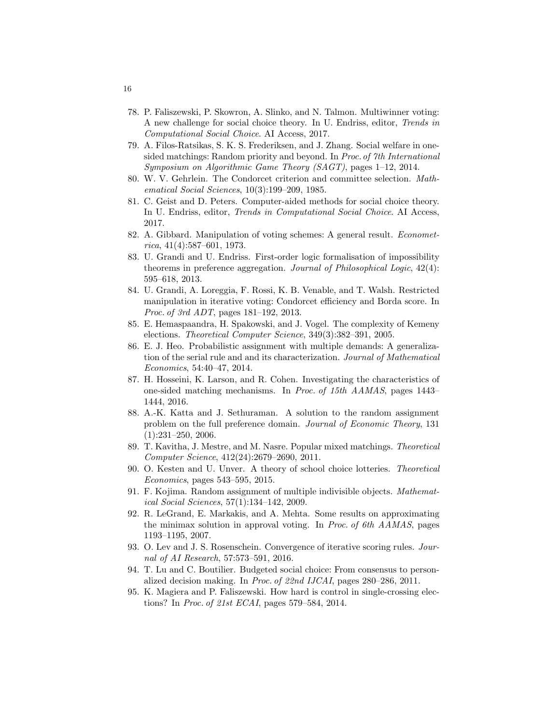- <span id="page-15-8"></span>78. P. Faliszewski, P. Skowron, A. Slinko, and N. Talmon. Multiwinner voting: A new challenge for social choice theory. In U. Endriss, editor, Trends in Computational Social Choice. AI Access, 2017.
- <span id="page-15-13"></span>79. A. Filos-Ratsikas, S. K. S. Frederiksen, and J. Zhang. Social welfare in onesided matchings: Random priority and beyond. In Proc. of 7th International Symposium on Algorithmic Game Theory (SAGT), pages 1–12, 2014.
- <span id="page-15-5"></span>80. W. V. Gehrlein. The Condorcet criterion and committee selection. Mathematical Social Sciences, 10(3):199–209, 1985.
- <span id="page-15-17"></span>81. C. Geist and D. Peters. Computer-aided methods for social choice theory. In U. Endriss, editor, Trends in Computational Social Choice. AI Access, 2017.
- <span id="page-15-1"></span>82. A. Gibbard. Manipulation of voting schemes: A general result. Economet $rica, 41(4): 587-601, 1973.$
- <span id="page-15-16"></span>83. U. Grandi and U. Endriss. First-order logic formalisation of impossibility theorems in preference aggregation. Journal of Philosophical Logic, 42(4): 595–618, 2013.
- <span id="page-15-3"></span>84. U. Grandi, A. Loreggia, F. Rossi, K. B. Venable, and T. Walsh. Restricted manipulation in iterative voting: Condorcet efficiency and Borda score. In Proc. of 3rd ADT, pages 181–192, 2013.
- <span id="page-15-0"></span>85. E. Hemaspaandra, H. Spakowski, and J. Vogel. The complexity of Kemeny elections. Theoretical Computer Science, 349(3):382–391, 2005.
- <span id="page-15-11"></span>86. E. J. Heo. Probabilistic assignment with multiple demands: A generalization of the serial rule and and its characterization. Journal of Mathematical Economics, 54:40–47, 2014.
- <span id="page-15-14"></span>87. H. Hosseini, K. Larson, and R. Cohen. Investigating the characteristics of one-sided matching mechanisms. In Proc. of 15th AAMAS, pages 1443– 1444, 2016.
- <span id="page-15-9"></span>88. A.-K. Katta and J. Sethuraman. A solution to the random assignment problem on the full preference domain. Journal of Economic Theory, 131  $(1):231-250, 2006.$
- <span id="page-15-12"></span>89. T. Kavitha, J. Mestre, and M. Nasre. Popular mixed matchings. Theoretical Computer Science, 412(24):2679–2690, 2011.
- <span id="page-15-15"></span>90. O. Kesten and U. Unver. A theory of school choice lotteries. Theoretical Economics, pages 543–595, 2015.
- <span id="page-15-10"></span>91. F. Kojima. Random assignment of multiple indivisible objects. Mathematical Social Sciences, 57(1):134–142, 2009.
- <span id="page-15-6"></span>92. R. LeGrand, E. Markakis, and A. Mehta. Some results on approximating the minimax solution in approval voting. In Proc. of 6th AAMAS, pages 1193–1195, 2007.
- <span id="page-15-4"></span>93. O. Lev and J. S. Rosenschein. Convergence of iterative scoring rules. Journal of AI Research, 57:573–591, 2016.
- <span id="page-15-7"></span>94. T. Lu and C. Boutilier. Budgeted social choice: From consensus to personalized decision making. In Proc. of 22nd IJCAI, pages 280–286, 2011.
- <span id="page-15-2"></span>95. K. Magiera and P. Faliszewski. How hard is control in single-crossing elections? In Proc. of 21st ECAI, pages 579–584, 2014.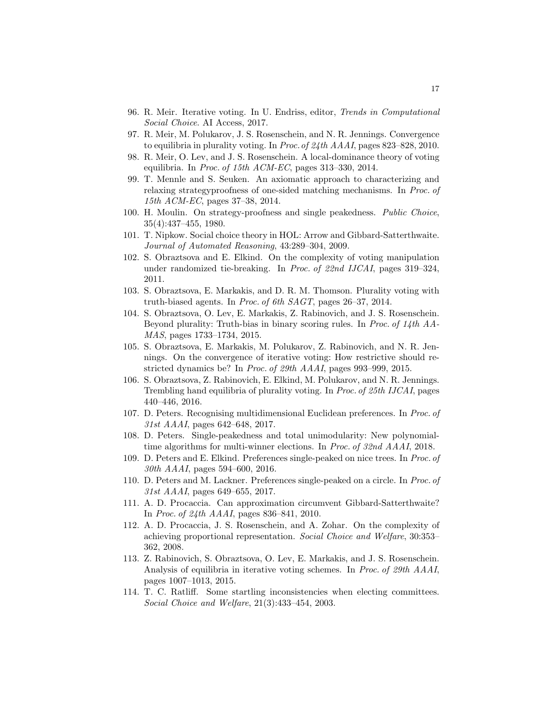- <span id="page-16-11"></span>96. R. Meir. Iterative voting. In U. Endriss, editor, Trends in Computational Social Choice. AI Access, 2017.
- <span id="page-16-6"></span>97. R. Meir, M. Polukarov, J. S. Rosenschein, and N. R. Jennings. Convergence to equilibria in plurality voting. In Proc. of 24th AAAI, pages 823–828, 2010.
- <span id="page-16-8"></span>98. R. Meir, O. Lev, and J. S. Rosenschein. A local-dominance theory of voting equilibria. In Proc. of 15th  $ACM-EC$ , pages 313-330, 2014.
- <span id="page-16-17"></span>99. T. Mennle and S. Seuken. An axiomatic approach to characterizing and relaxing strategyproofness of one-sided matching mechanisms. In Proc. of 15th ACM-EC, pages 37–38, 2014.
- <span id="page-16-0"></span>100. H. Moulin. On strategy-proofness and single peakedness. Public Choice, 35(4):437–455, 1980.
- <span id="page-16-18"></span>101. T. Nipkow. Social choice theory in HOL: Arrow and Gibbard-Satterthwaite. Journal of Automated Reasoning, 43:289–304, 2009.
- <span id="page-16-15"></span>102. S. Obraztsova and E. Elkind. On the complexity of voting manipulation under randomized tie-breaking. In Proc. of 22nd IJCAI, pages 319–324, 2011.
- <span id="page-16-4"></span>103. S. Obraztsova, E. Markakis, and D. R. M. Thomson. Plurality voting with truth-biased agents. In Proc. of 6th SAGT, pages 26–37, 2014.
- <span id="page-16-7"></span>104. S. Obraztsova, O. Lev, E. Markakis, Z. Rabinovich, and J. S. Rosenschein. Beyond plurality: Truth-bias in binary scoring rules. In Proc. of 14th AA-MAS, pages 1733–1734, 2015.
- <span id="page-16-9"></span>105. S. Obraztsova, E. Markakis, M. Polukarov, Z. Rabinovich, and N. R. Jennings. On the convergence of iterative voting: How restrictive should restricted dynamics be? In Proc. of 29th AAAI, pages 993–999, 2015.
- <span id="page-16-5"></span>106. S. Obraztsova, Z. Rabinovich, E. Elkind, M. Polukarov, and N. R. Jennings. Trembling hand equilibria of plurality voting. In Proc. of 25th IJCAI, pages 440–446, 2016.
- <span id="page-16-3"></span>107. D. Peters. Recognising multidimensional Euclidean preferences. In Proc. of 31st AAAI, pages 642–648, 2017.
- <span id="page-16-14"></span>108. D. Peters. Single-peakedness and total unimodularity: New polynomialtime algorithms for multi-winner elections. In Proc. of 32nd AAAI, 2018.
- <span id="page-16-1"></span>109. D. Peters and E. Elkind. Preferences single-peaked on nice trees. In Proc. of 30th AAAI, pages 594–600, 2016.
- <span id="page-16-2"></span>110. D. Peters and M. Lackner. Preferences single-peaked on a circle. In Proc. of 31st AAAI, pages 649–655, 2017.
- <span id="page-16-16"></span>111. A. D. Procaccia. Can approximation circumvent Gibbard-Satterthwaite? In Proc. of 24th AAAI, pages 836–841, 2010.
- <span id="page-16-13"></span>112. A. D. Procaccia, J. S. Rosenschein, and A. Zohar. On the complexity of achieving proportional representation. Social Choice and Welfare, 30:353– 362, 2008.
- <span id="page-16-10"></span>113. Z. Rabinovich, S. Obraztsova, O. Lev, E. Markakis, and J. S. Rosenschein. Analysis of equilibria in iterative voting schemes. In Proc. of 29th AAAI, pages 1007–1013, 2015.
- <span id="page-16-12"></span>114. T. C. Ratliff. Some startling inconsistencies when electing committees. Social Choice and Welfare, 21(3):433–454, 2003.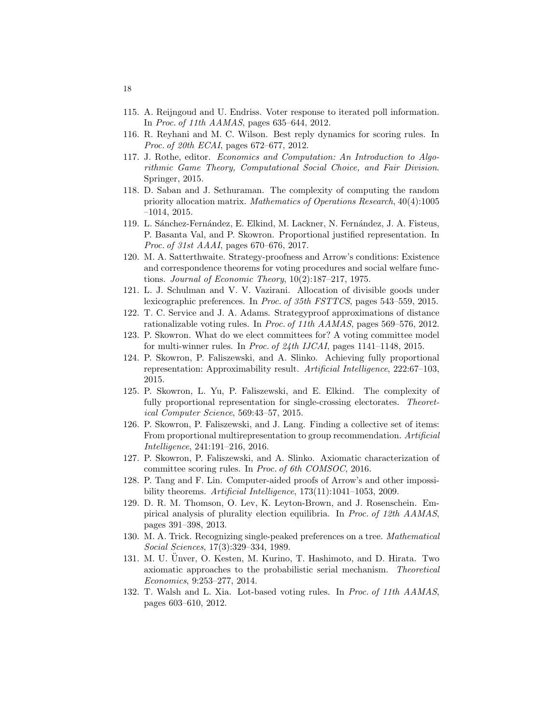- <span id="page-17-5"></span>115. A. Reijngoud and U. Endriss. Voter response to iterated poll information. In Proc. of 11th AAMAS, pages 635–644, 2012.
- <span id="page-17-4"></span>116. R. Reyhani and M. C. Wilson. Best reply dynamics for scoring rules. In Proc. of 20th ECAI, pages 672–677, 2012.
- <span id="page-17-17"></span>117. J. Rothe, editor. Economics and Computation: An Introduction to Algorithmic Game Theory, Computational Social Choice, and Fair Division. Springer, 2015.
- <span id="page-17-13"></span>118. D. Saban and J. Sethuraman. The complexity of computing the random priority allocation matrix. Mathematics of Operations Research, 40(4):1005 –1014, 2015.
- <span id="page-17-8"></span>119. L. Sánchez-Fernández, E. Elkind, M. Lackner, N. Fernández, J. A. Fisteus, P. Basanta Val, and P. Skowron. Proportional justified representation. In Proc. of 31st AAAI, pages 670–676, 2017.
- <span id="page-17-0"></span>120. M. A. Satterthwaite. Strategy-proofness and Arrow's conditions: Existence and correspondence theorems for voting procedures and social welfare functions. Journal of Economic Theory, 10(2):187–217, 1975.
- <span id="page-17-15"></span>121. L. J. Schulman and V. V. Vazirani. Allocation of divisible goods under lexicographic preferences. In Proc. of 35th FSTTCS, pages 543–559, 2015.
- <span id="page-17-12"></span>122. T. C. Service and J. A. Adams. Strategyproof approximations of distance rationalizable voting rules. In Proc. of 11th AAMAS, pages 569–576, 2012.
- <span id="page-17-10"></span>123. P. Skowron. What do we elect committees for? A voting committee model for multi-winner rules. In Proc. of 24th IJCAI, pages 1141–1148, 2015.
- <span id="page-17-7"></span>124. P. Skowron, P. Faliszewski, and A. Slinko. Achieving fully proportional representation: Approximability result. Artificial Intelligence, 222:67–103, 2015.
- <span id="page-17-1"></span>125. P. Skowron, L. Yu, P. Faliszewski, and E. Elkind. The complexity of fully proportional representation for single-crossing electorates. Theoretical Computer Science, 569:43–57, 2015.
- <span id="page-17-6"></span>126. P. Skowron, P. Faliszewski, and J. Lang. Finding a collective set of items: From proportional multirepresentation to group recommendation. Artificial Intelligence, 241:191–216, 2016.
- <span id="page-17-9"></span>127. P. Skowron, P. Faliszewski, and A. Slinko. Axiomatic characterization of committee scoring rules. In Proc. of 6th COMSOC, 2016.
- <span id="page-17-16"></span>128. P. Tang and F. Lin. Computer-aided proofs of Arrow's and other impossibility theorems. Artificial Intelligence, 173(11):1041–1053, 2009.
- <span id="page-17-3"></span>129. D. R. M. Thomson, O. Lev, K. Leyton-Brown, and J. Rosenschein. Empirical analysis of plurality election equilibria. In Proc. of 12th AAMAS, pages 391–398, 2013.
- <span id="page-17-2"></span>130. M. A. Trick. Recognizing single-peaked preferences on a tree. Mathematical Social Sciences, 17(3):329–334, 1989.
- <span id="page-17-14"></span>131. M. U. Unver, O. Kesten, M. Kurino, T. Hashimoto, and D. Hirata. Two ¨ axiomatic approaches to the probabilistic serial mechanism. Theoretical Economics, 9:253–277, 2014.
- <span id="page-17-11"></span>132. T. Walsh and L. Xia. Lot-based voting rules. In Proc. of 11th AAMAS, pages 603–610, 2012.